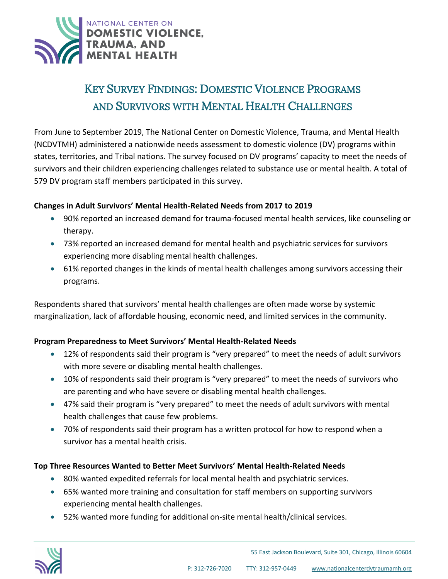

# KEY SURVEY FINDINGS: DOMESTIC VIOLENCE PROGRAMS AND SURVIVORS WITH MENTAL HEALTH CHALLENGES

From June to September 2019, The National Center on Domestic Violence, Trauma, and Mental Health (NCDVTMH) administered a nationwide needs assessment to domestic violence (DV) programs within states, territories, and Tribal nations. The survey focused on DV programs' capacity to meet the needs of survivors and their children experiencing challenges related to substance use or mental health. A total of 579 DV program staff members participated in this survey.

#### **Changes in Adult Survivors' Mental Health-Related Needs from 2017 to 2019**

- 90% reported an increased demand for trauma-focused mental health services, like counseling or therapy.
- 73% reported an increased demand for mental health and psychiatric services for survivors experiencing more disabling mental health challenges.
- 61% reported changes in the kinds of mental health challenges among survivors accessing their programs.

Respondents shared that survivors' mental health challenges are often made worse by systemic marginalization, lack of affordable housing, economic need, and limited services in the community.

## **Program Preparedness to Meet Survivors' Mental Health-Related Needs**

- 12% of respondents said their program is "very prepared" to meet the needs of adult survivors with more severe or disabling mental health challenges.
- 10% of respondents said their program is "very prepared" to meet the needs of survivors who are parenting and who have severe or disabling mental health challenges.
- 47% said their program is "very prepared" to meet the needs of adult survivors with mental health challenges that cause few problems.
- 70% of respondents said their program has a written protocol for how to respond when a survivor has a mental health crisis.

## **Top Three Resources Wanted to Better Meet Survivors' Mental Health-Related Needs**

- 80% wanted expedited referrals for local mental health and psychiatric services.
- 65% wanted more training and consultation for staff members on supporting survivors experiencing mental health challenges.
- 52% wanted more funding for additional on-site mental health/clinical services.



Ī